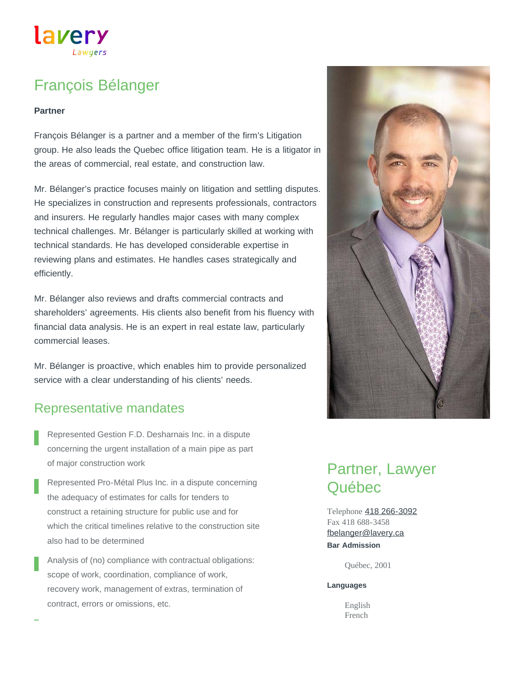## lavery Lawuers

# François Bélanger

### **Partner**

François Bélanger is a partner and a member of the firm's Litigation group. He also leads the Quebec office litigation team. He is a litigator in the areas of commercial, real estate, and construction law.

Mr. Bélanger's practice focuses mainly on litigation and settling disputes. He specializes in construction and represents professionals, contractors and insurers. He regularly handles major cases with many complex technical challenges. Mr. Bélanger is particularly skilled at working with technical standards. He has developed considerable expertise in reviewing plans and estimates. He handles cases strategically and efficiently.

Mr. Bélanger also reviews and drafts commercial contracts and shareholders' agreements. His clients also benefit from his fluency with financial data analysis. He is an expert in real estate law, particularly commercial leases.

Mr. Bélanger is proactive, which enables him to provide personalized service with a clear understanding of his clients' needs.

### Representative mandates

- Represented Gestion F.D. Desharnais Inc. in a dispute concerning the urgent installation of a main pipe as part of major construction work
- Represented Pro-Métal Plus Inc. in a dispute concerning the adequacy of estimates for calls for tenders to construct a retaining structure for public use and for which the critical timelines relative to the construction site also had to be determined
- Analysis of (no) compliance with contractual obligations: scope of work, coordination, compliance of work, recovery work, management of extras, termination of contract, errors or omissions, etc.



## Partner, Lawyer Québec

Telephone [418 266-3092](tel:418-266-3092) Fax 418 688-3458 **Bar Admission** [fbelanger@lavery.ca](mailto:fbelanger@lavery.ca)

Québec, 2001

#### **Languages**

English French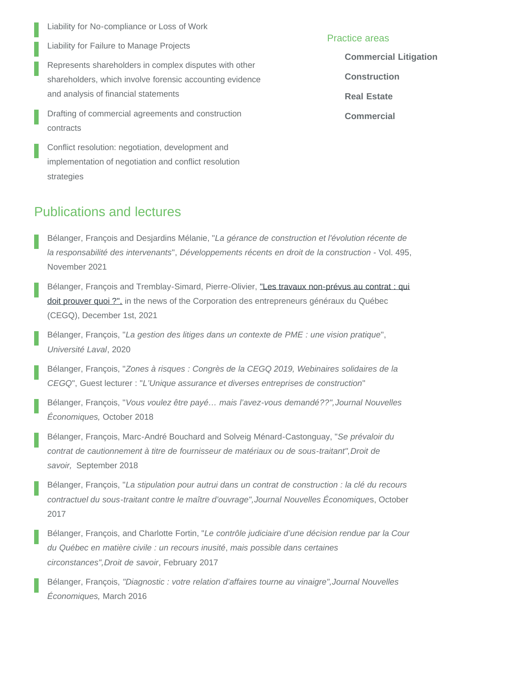Liability for No-compliance or Loss of Work Liability for Failure to Manage Projects Represents shareholders in complex disputes with other shareholders, which involve forensic accounting evidence and analysis of financial statements Drafting of commercial agreements and construction contracts Conflict resolution: negotiation, development and

implementation of negotiation and conflict resolution strategies

### Publications and lectures

- Bélanger, François and Desjardins Mélanie, "*La gérance de construction et l'évolution récente de la responsabilité des intervenants*", *Développements récents en droit de la construction* - Vol. 495, November 2021
- Bélanger, François and Tremblay-Simard, Pierre-Olivier, ["Les travaux non-prévus au contrat : qui](https://www.cegq.com/fr/details-article-1/les-travaux-non-prevus-au-contrat-qui-doit-prouver-quoi) <u>[doit prouver quoi ?",](https://www.cegq.com/fr/details-article-1/les-travaux-non-prevus-au-contrat-qui-doit-prouver-quoi)</u> in the news of the Corporation des entrepreneurs généraux du Québec (CEGQ), December 1st, 2021
- Bélanger, François, "*La gestion des litiges dans un contexte de PME : une vision pratique*", *Université Laval*, 2020
- Bélanger, François, "*Zones à risques : Congrès de la CEGQ 2019, Webinaires solidaires de la CEGQ*", Guest lecturer : "*L'Unique assurance et diverses entreprises de construction*"
- Bélanger, François, "*Vous voulez être payé… mais l'avez-vous demandé??",Journal Nouvelles Économiques,* October 2018
- Bélanger, François, Marc-André Bouchard and Solveig Ménard-Castonguay, "*Se prévaloir du contrat de cautionnement à titre de fournisseur de matériaux ou de sous-traitant",Droit de savoir,* September 2018
- Bélanger, François, "*La stipulation pour autrui dans un contrat de construction : la clé du recours contractuel du sous-traitant contre le maître d'ouvrage",Journal Nouvelles Économique*s, October 2017
- Bélanger, François, and Charlotte Fortin, "*Le contrôle judiciaire d'une décision rendue par la Cour du Québec en matière civile : un recours inusité*, *mais possible dans certaines circonstances",Droit de savoir*, February 2017
- Bélanger, François, *"Diagnostic : votre relation d'affaires tourne au vinaigre",Journal Nouvelles Économiques,* March 2016

#### Practice areas

**[Commercial Litigation](https://www.lavery.ca/en/legal-services-expertise/309-commercial-litigation.html) [Construction](https://www.lavery.ca/en/legal-services-expertise/289-construction.html) [Real Estate](https://www.lavery.ca/en/legal-services-expertise/295-real-estate.html) [Commercial](https://www.lavery.ca/en/legal-services-expertise/362-commercial.html)**